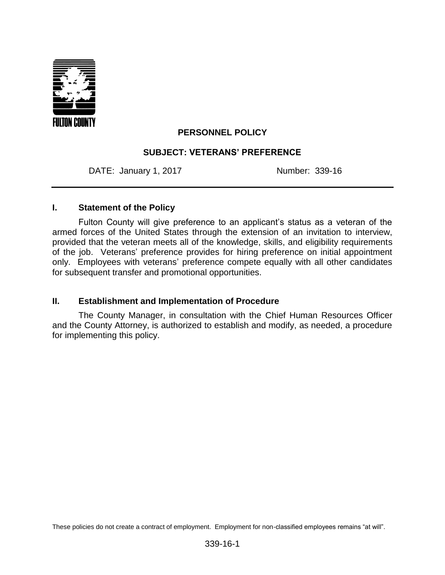

## **PERSONNEL POLICY**

### **SUBJECT: VETERANS' PREFERENCE**

DATE: January 1, 2017 Mumber: 339-16

#### **I. Statement of the Policy**

Fulton County will give preference to an applicant's status as a veteran of the armed forces of the United States through the extension of an invitation to interview, provided that the veteran meets all of the knowledge, skills, and eligibility requirements of the job. Veterans' preference provides for hiring preference on initial appointment only. Employees with veterans' preference compete equally with all other candidates for subsequent transfer and promotional opportunities.

#### **II. Establishment and Implementation of Procedure**

The County Manager, in consultation with the Chief Human Resources Officer and the County Attorney, is authorized to establish and modify, as needed, a procedure for implementing this policy.

These policies do not create a contract of employment. Employment for non-classified employees remains "at will".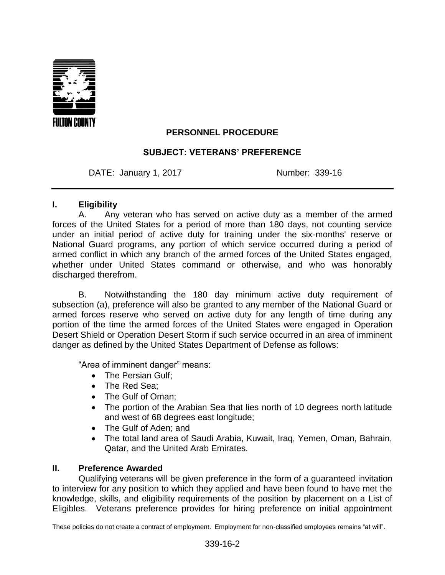

# **PERSONNEL PROCEDURE**

### **SUBJECT: VETERANS' PREFERENCE**

DATE: January 1, 2017 Mumber: 339-16

### **I. Eligibility**

A. Any veteran who has served on active duty as a member of the armed forces of the United States for a period of more than 180 days, not counting service under an initial period of active duty for training under the six-months' reserve or National Guard programs, any portion of which service occurred during a period of armed conflict in which any branch of the armed forces of the United States engaged, whether under United States command or otherwise, and who was honorably discharged therefrom.

B. Notwithstanding the 180 day minimum active duty requirement of subsection (a), preference will also be granted to any member of the National Guard or armed forces reserve who served on active duty for any length of time during any portion of the time the armed forces of the United States were engaged in Operation Desert Shield or Operation Desert Storm if such service occurred in an area of imminent danger as defined by the United States Department of Defense as follows:

"Area of imminent danger" means:

- The Persian Gulf:
- The Red Sea:
- The Gulf of Oman;
- The portion of the Arabian Sea that lies north of 10 degrees north latitude and west of 68 degrees east longitude;
- The Gulf of Aden: and
- The total land area of Saudi Arabia, Kuwait, Iraq, Yemen, Oman, Bahrain, Qatar, and the United Arab Emirates.

## **II. Preference Awarded**

Qualifying veterans will be given preference in the form of a guaranteed invitation to interview for any position to which they applied and have been found to have met the knowledge, skills, and eligibility requirements of the position by placement on a List of Eligibles. Veterans preference provides for hiring preference on initial appointment

These policies do not create a contract of employment. Employment for non-classified employees remains "at will".